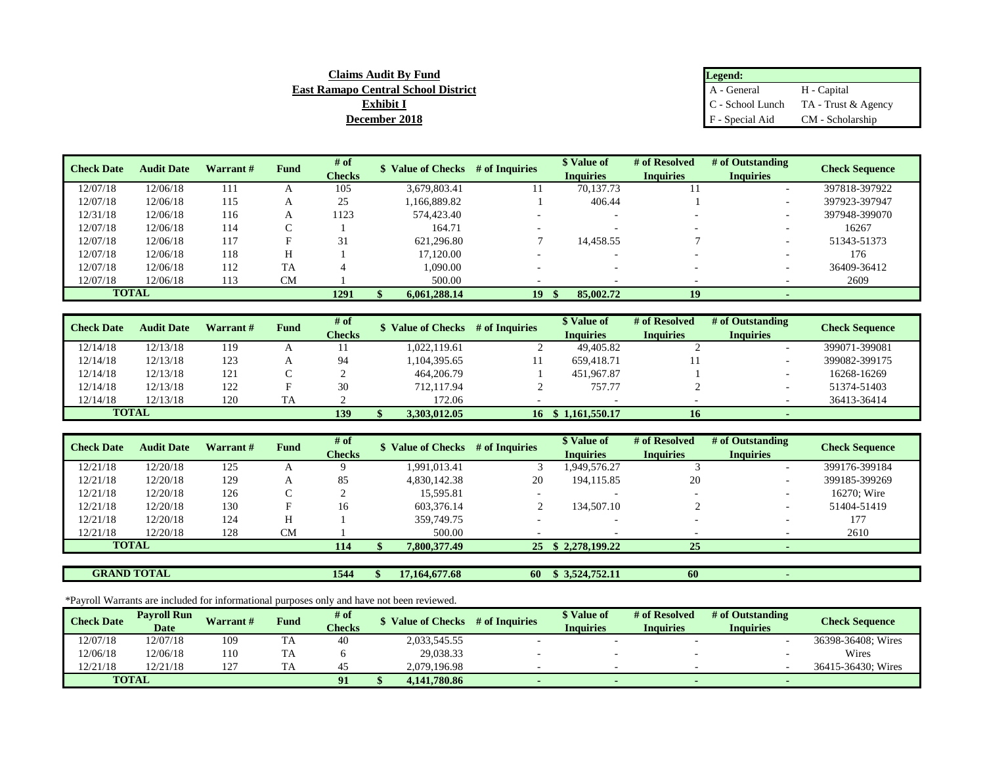| Claims Audit Bv Fund                       | Legend:         |                                        |
|--------------------------------------------|-----------------|----------------------------------------|
| <b>East Ramapo Central School District</b> | A - General     | H - Capital                            |
| Exhibit I                                  |                 | $C$ - School Lunch TA - Trust & Agency |
| <b>December 2018</b>                       | F - Special Aid | CM - Scholarship                       |

| <b>Check Date</b> | <b>Audit Date</b> | Warrant # | Fund      | # of<br><b>Checks</b> | <b>Value of Checks</b> | # of Inquiries  | \$ Value of<br><b>Inquiries</b> | # of Resolved<br><b>Inquiries</b> | # of Outstanding<br><b>Inquiries</b> | <b>Check Sequence</b> |
|-------------------|-------------------|-----------|-----------|-----------------------|------------------------|-----------------|---------------------------------|-----------------------------------|--------------------------------------|-----------------------|
| 12/07/18          | 12/06/18          | 111       |           | 105                   | 3,679,803.41           |                 | 70,137.73                       |                                   |                                      | 397818-397922         |
| 12/07/18          | 12/06/18          | 115       | A         | 25                    | 1,166,889.82           |                 | 406.44                          |                                   |                                      | 397923-397947         |
| 12/31/18          | 12/06/18          | 116       |           | 1123                  | 574,423.40             |                 |                                 |                                   |                                      | 397948-399070         |
| 12/07/18          | 12/06/18          | 114       |           |                       | 164.71                 |                 |                                 |                                   |                                      | 16267                 |
| 12/07/18          | 12/06/18          | 117       |           | 31                    | 621.296.80             |                 | 14,458.55                       |                                   |                                      | 51343-51373           |
| 12/07/18          | 12/06/18          | 118       |           |                       | 17.120.00              |                 |                                 |                                   |                                      | 176                   |
| 12/07/18          | 12/06/18          | 112       | <b>TA</b> |                       | 1.090.00               | $\sim$          |                                 |                                   |                                      | 36409-36412           |
| 12/07/18          | 12/06/18          | 113       | <b>CM</b> |                       | 500.00                 |                 |                                 |                                   |                                      | 2609                  |
|                   | <b>TOTAL</b>      |           |           | 1291                  | 6,061,288.14           | 19 <sup>°</sup> | 85,002.72                       | 19                                |                                      |                       |

| <b>Check Date</b> | <b>Audit Date</b> | Warrant# | Fund | # of          | <b>Value of Checks</b> | # of Inquiries | <b>S</b> Value of  | # of Resolved    | # of Outstanding | <b>Check Sequence</b> |
|-------------------|-------------------|----------|------|---------------|------------------------|----------------|--------------------|------------------|------------------|-----------------------|
|                   |                   |          |      | <b>Checks</b> |                        |                | <b>Inquiries</b>   | <b>Inquiries</b> | <b>Inquiries</b> |                       |
| 12/14/18          | 12/13/18          | 119      |      |               | 1.022.119.61           |                | 49,405.82          |                  |                  | 399071-399081         |
| 12/14/18          | 12/13/18          | 123      |      | 94            | ,104,395.65            |                | 659.418.71         |                  |                  | 399082-399175         |
| 12/14/18          | 12/13/18          | 121      |      |               | 464,206.79             |                | 451,967.87         |                  |                  | 16268-16269           |
| 12/14/18          | 12/13/18          | 122      |      | 30            | 712.117.94             |                | 757.77             |                  |                  | 51374-51403           |
| 12/14/18          | 12/13/18          | 120      | TA   |               | 172.06                 |                |                    |                  |                  | 36413-36414           |
| <b>TOTAL</b>      |                   |          |      | 139           | 3.303.012.05           |                | 16 \$ 1,161,550.17 | 16               |                  |                       |

| <b>Check Date</b> | <b>Audit Date</b>  | Warrant# | Fund      | # of          |                  | \$ Value of Checks # of Inquiries | \$ Value of              | # of Resolved    | # of Outstanding | <b>Check Sequence</b> |
|-------------------|--------------------|----------|-----------|---------------|------------------|-----------------------------------|--------------------------|------------------|------------------|-----------------------|
|                   |                    |          |           | <b>Checks</b> |                  |                                   | <b>Inquiries</b>         | <b>Inquiries</b> | <b>Inquiries</b> |                       |
| 12/21/18          | 12/20/18           | 125      |           |               | 1.991.013.41     |                                   | 1,949,576.27             |                  |                  | 399176-399184         |
| 12/21/18          | 12/20/18           | 129      | A         | 85            | 4,830,142.38     | 20                                | 194.115.85               | 20               |                  | 399185-399269         |
| 12/21/18          | 12/20/18           | 126      |           |               | 15.595.81        |                                   |                          |                  |                  | 16270; Wire           |
| 12/21/18          | 12/20/18           | 130      | Е         | 16            | 603.376.14       |                                   | 134.507.10               |                  |                  | 51404-51419           |
| 12/21/18          | 12/20/18           | 124      | H         |               | 359,749.75       |                                   | $\overline{\phantom{a}}$ |                  |                  | 177                   |
| 12/21/18          | 12/20/18           | 128      | <b>CM</b> |               | 500.00           |                                   |                          |                  |                  | 2610                  |
|                   | <b>TOTAL</b>       |          |           | 114           | 7,800,377.49     |                                   | 25 \$ 2,278,199.22       | 25               |                  |                       |
|                   |                    |          |           |               |                  |                                   |                          |                  |                  |                       |
|                   | <b>GRAND TOTAL</b> |          |           | 1544          | 17, 164, 677, 68 | 60                                | \$3,524,752.11           | 60               |                  |                       |

\*Payroll Warrants are included for informational purposes only and have not been reviewed.

| <b>Check Date</b> | <b>Pavroll Run</b><br>Date | <b>Warrant#</b> | Fund | # of<br><b>Checks</b> | <b>Value of Checks</b> | # of Inquiries | \$ Value of<br><b>Inquiries</b> | # of Resolved<br><b>Inquiries</b> | # of Outstanding<br><b>Inquiries</b> | <b>Check Sequence</b> |
|-------------------|----------------------------|-----------------|------|-----------------------|------------------------|----------------|---------------------------------|-----------------------------------|--------------------------------------|-----------------------|
| 12/07/18          | 12/07/18                   | 109             | TA   | 40                    | 2,033,545.55           |                |                                 |                                   |                                      | 36398-36408; Wires    |
| 12/06/18          | 12/06/18                   | 110             | TA   |                       | 29,038.33              |                |                                 |                                   |                                      | Wires                 |
| 12/21/18          | 12/21/18                   | 127             |      | 45                    | 2.079.196.98           |                |                                 |                                   |                                      | 36415-36430: Wires    |
|                   | <b>TOTAL</b>               |                 |      | 91                    | 4.141.780.86           |                |                                 |                                   | $\overline{\phantom{a}}$             |                       |